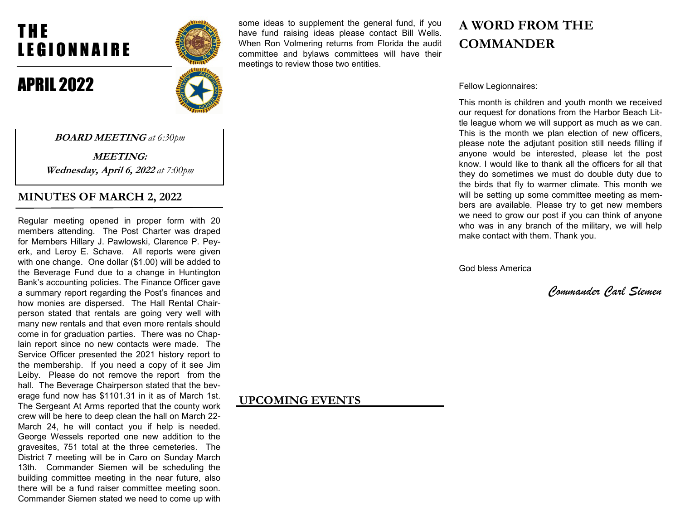# T H E LEGIONNAIRE

BOARD MEETING at 6:30pm

MEETING: Wednesday, April 6, 2022 at 7:00pm

Regular meeting opened in proper form with 20 members attending. The Post Charter was draped for Members Hillary J. Pawlowski, Clarence P. Peyerk, and Leroy E. Schave. All reports were given with one change. One dollar (\$1.00) will be added to the Beverage Fund due to a change in Huntington Bank's accounting policies. The Finance Officer gave a summary report regarding the Post's finances and how monies are dispersed. The Hall Rental Chairperson stated that rentals are going very well with many new rentals and that even more rentals should come in for graduation parties. There was no Chaplain report since no new contacts were made. The Service Officer presented the 2021 history report to the membership. If you need a copy of it see Jim Leiby. Please do not remove the report from the hall. The Beverage Chairperson stated that the beverage fund now has \$1101.31 in it as of March 1st. The Sergeant At Arms reported that the county work crew will be here to deep clean the hall on March 22- March 24, he will contact you if help is needed. George Wessels reported one new addition to the gravesites, 751 total at the three cemeteries. The District 7 meeting will be in Caro on Sunday March 13th. Commander Siemen will be scheduling the building committee meeting in the near future, also there will be a fund raiser committee meeting soon. Commander Siemen stated we need to come up with

MINUTES OF MARCH 2, 2022

## APRIL 2022



some ideas to supplement the general fund, if you have fund raising ideas please contact Bill Wells. When Ron Volmering returns from Florida the audit committee and bylaws committees will have their meetings to review those two entities.

## A WORD FROM THE **COMMANDER**

Fellow Legionnaires:

This month is children and youth month we received our request for donations from the Harbor Beach Little league whom we will support as much as we can. This is the month we plan election of new officers, please note the adjutant position still needs filling if anyone would be interested, please let the post know. I would like to thank all the officers for all that they do sometimes we must do double duty due to the birds that fly to warmer climate. This month we will be setting up some committee meeting as members are available. Please try to get new members we need to grow our post if you can think of anyone who was in any branch of the military, we will help make contact with them. Thank you.

God bless America

Commander Carl Siemen

## UPCOMING EVENTS